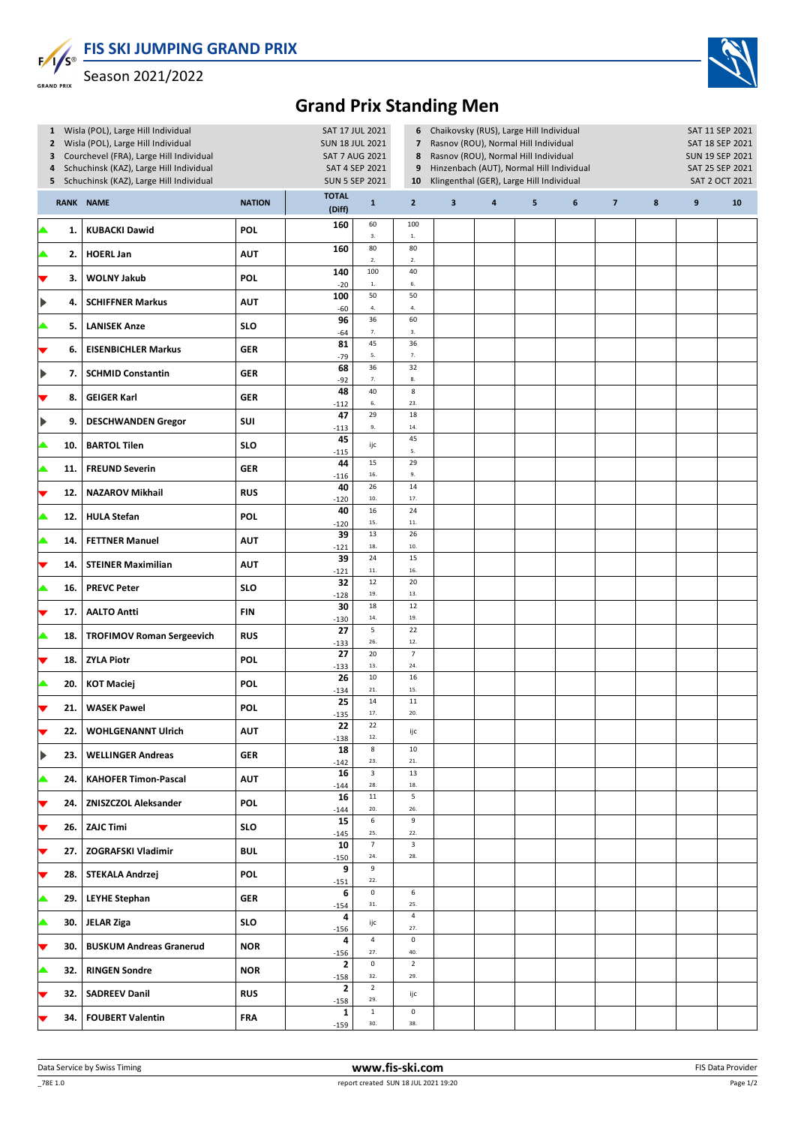**FIS SKI JUMPING GRAND PRIX**  $F/I/S^{\circ}$ 



Season 2021/2022

**GRAND PRIX** 

## **Grand Prix Standing Men**

|                       | 3<br>4 | 1 Wisla (POL), Large Hill Individual<br>2 Wisla (POL), Large Hill Individual<br>Courchevel (FRA), Large Hill Individual<br>Schuchinsk (KAZ), Large Hill Individual<br>5 Schuchinsk (KAZ), Large Hill Individual |               | SAT 17 JUL 2021<br><b>SUN 18 JUL 2021</b><br><b>SAT 7 AUG 2021</b><br>SAT 4 SEP 2021<br><b>SUN 5 SEP 2021</b> | 6<br>$\overline{\phantom{a}}$<br>8<br>9<br>10 | Chaikovsky (RUS), Large Hill Individual<br>Rasnov (ROU), Normal Hill Individual<br>Rasnov (ROU), Normal Hill Individual<br>Hinzenbach (AUT), Normal Hill Individual<br>Klingenthal (GER), Large Hill Individual |                         | SAT 11 SEP 2021<br>SAT 18 SEP 2021<br>SUN 19 SEP 2021<br>SAT 25 SEP 2021<br>SAT 2 OCT 2021 |   |   |                |        |                  |    |
|-----------------------|--------|-----------------------------------------------------------------------------------------------------------------------------------------------------------------------------------------------------------------|---------------|---------------------------------------------------------------------------------------------------------------|-----------------------------------------------|-----------------------------------------------------------------------------------------------------------------------------------------------------------------------------------------------------------------|-------------------------|--------------------------------------------------------------------------------------------|---|---|----------------|--------|------------------|----|
|                       |        | <b>RANK NAME</b>                                                                                                                                                                                                | <b>NATION</b> | <b>TOTAL</b><br>(Diff)                                                                                        | $\mathbf 1$                                   | $\mathbf{2}$                                                                                                                                                                                                    | $\overline{\mathbf{3}}$ | 4                                                                                          | 5 | 6 | $\overline{7}$ | $\bf8$ | $\boldsymbol{9}$ | 10 |
| ▲                     | 1.     | <b>KUBACKI Dawid</b>                                                                                                                                                                                            | <b>POL</b>    | 160                                                                                                           | 60<br>3.                                      | 100<br>$1. \,$                                                                                                                                                                                                  |                         |                                                                                            |   |   |                |        |                  |    |
|                       | 2.     | <b>HOERL Jan</b>                                                                                                                                                                                                | <b>AUT</b>    | 160                                                                                                           | 80<br>$2. \,$                                 | 80<br>2.                                                                                                                                                                                                        |                         |                                                                                            |   |   |                |        |                  |    |
| ▼                     | 3.     | <b>WOLNY Jakub</b>                                                                                                                                                                                              | POL           | 140<br>$-20$                                                                                                  | 100<br>$\mathbf{1}.$                          | 40<br>6.                                                                                                                                                                                                        |                         |                                                                                            |   |   |                |        |                  |    |
| $\blacktriangleright$ | 4.     | <b>SCHIFFNER Markus</b>                                                                                                                                                                                         | <b>AUT</b>    | 100<br>$-60$                                                                                                  | 50<br>$\bf 4.$                                | 50<br>$\bf 4.$                                                                                                                                                                                                  |                         |                                                                                            |   |   |                |        |                  |    |
|                       | 5.     | <b>LANISEK Anze</b>                                                                                                                                                                                             | <b>SLO</b>    | 96<br>$-64$                                                                                                   | 36<br>7.                                      | 60<br>3.                                                                                                                                                                                                        |                         |                                                                                            |   |   |                |        |                  |    |
| ▼                     | 6.     | <b>EISENBICHLER Markus</b>                                                                                                                                                                                      | <b>GER</b>    | 81<br>$-79$                                                                                                   | 45<br>5.                                      | 36<br>7.                                                                                                                                                                                                        |                         |                                                                                            |   |   |                |        |                  |    |
| $\blacktriangleright$ | 7.     | <b>SCHMID Constantin</b>                                                                                                                                                                                        | <b>GER</b>    | 68<br>$-92$                                                                                                   | 36<br>7.                                      | 32<br>$\bf 8.$                                                                                                                                                                                                  |                         |                                                                                            |   |   |                |        |                  |    |
| ▼                     | 8.     | <b>GEIGER Karl</b>                                                                                                                                                                                              | <b>GER</b>    | 48<br>$-112$                                                                                                  | 40<br>$\mathbf{6}.$                           | $\bf 8$<br>23.                                                                                                                                                                                                  |                         |                                                                                            |   |   |                |        |                  |    |
| $\blacktriangleright$ | 9.     | <b>DESCHWANDEN Gregor</b>                                                                                                                                                                                       | SUI           | 47<br>$-113$                                                                                                  | 29<br>9.                                      | 18<br>14.                                                                                                                                                                                                       |                         |                                                                                            |   |   |                |        |                  |    |
| ▲                     | 10.    | <b>BARTOL Tilen</b>                                                                                                                                                                                             | <b>SLO</b>    | 45<br>$-115$                                                                                                  | ijc                                           | 45<br>5.                                                                                                                                                                                                        |                         |                                                                                            |   |   |                |        |                  |    |
| ▲                     | 11.    | <b>FREUND Severin</b>                                                                                                                                                                                           | <b>GER</b>    | 44<br>$-116$                                                                                                  | 15<br>16.                                     | 29<br>9.                                                                                                                                                                                                        |                         |                                                                                            |   |   |                |        |                  |    |
| ▼                     | 12.    | <b>NAZAROV Mikhail</b>                                                                                                                                                                                          | <b>RUS</b>    | 40<br>$-120$                                                                                                  | 26<br>$10.$                                   | 14<br>17.                                                                                                                                                                                                       |                         |                                                                                            |   |   |                |        |                  |    |
| ▲                     | 12.    | <b>HULA Stefan</b>                                                                                                                                                                                              | <b>POL</b>    | 40<br>$-120$                                                                                                  | 16<br>15.                                     | 24<br>$\bf 11.$                                                                                                                                                                                                 |                         |                                                                                            |   |   |                |        |                  |    |
| ▲                     | 14.    | <b>FETTNER Manuel</b>                                                                                                                                                                                           | <b>AUT</b>    | 39<br>$-121$                                                                                                  | 13<br>18.                                     | 26<br>10.                                                                                                                                                                                                       |                         |                                                                                            |   |   |                |        |                  |    |
| ▼                     | 14.    | <b>STEINER Maximilian</b>                                                                                                                                                                                       | <b>AUT</b>    | 39<br>$-121$                                                                                                  | 24<br>$11. \,$                                | 15<br>16.                                                                                                                                                                                                       |                         |                                                                                            |   |   |                |        |                  |    |
| ▲                     | 16.    | <b>PREVC Peter</b>                                                                                                                                                                                              | <b>SLO</b>    | 32<br>$-128$                                                                                                  | 12<br>19.                                     | 20<br>13.                                                                                                                                                                                                       |                         |                                                                                            |   |   |                |        |                  |    |
| ▼                     | 17.    | <b>AALTO Antti</b>                                                                                                                                                                                              | <b>FIN</b>    | 30<br>$-130$                                                                                                  | 18<br>$\bf{14}.$                              | 12<br>19.                                                                                                                                                                                                       |                         |                                                                                            |   |   |                |        |                  |    |
| ▲                     | 18.    | <b>TROFIMOV Roman Sergeevich</b>                                                                                                                                                                                | <b>RUS</b>    | 27<br>$-133$                                                                                                  | 5<br>26.                                      | 22<br>12.                                                                                                                                                                                                       |                         |                                                                                            |   |   |                |        |                  |    |
| ▼                     | 18.    | <b>ZYLA Piotr</b>                                                                                                                                                                                               | POL           | 27<br>$-133$                                                                                                  | 20<br>13.                                     | $\overline{7}$<br>24.                                                                                                                                                                                           |                         |                                                                                            |   |   |                |        |                  |    |
| ▲                     | 20.    | <b>KOT Maciej</b>                                                                                                                                                                                               | <b>POL</b>    | 26<br>$-134$                                                                                                  | $10\,$<br>21.                                 | 16<br>15.                                                                                                                                                                                                       |                         |                                                                                            |   |   |                |        |                  |    |
| ▼                     | 21.    | <b>WASEK Pawel</b>                                                                                                                                                                                              | POL           | 25<br>$-135$                                                                                                  | $14\,$<br>17.                                 | $11\,$<br>20.                                                                                                                                                                                                   |                         |                                                                                            |   |   |                |        |                  |    |
| $\blacktriangledown$  | 22.    | <b>WOHLGENANNT Ulrich</b>                                                                                                                                                                                       | <b>AUT</b>    | 22<br>$-138$                                                                                                  | 22<br>12.                                     | ijc                                                                                                                                                                                                             |                         |                                                                                            |   |   |                |        |                  |    |
| ▶                     | 23.    | <b>WELLINGER Andreas</b>                                                                                                                                                                                        | <b>GER</b>    | 18<br>$-142$                                                                                                  | $\bf 8$<br>23.                                | 10<br>21.                                                                                                                                                                                                       |                         |                                                                                            |   |   |                |        |                  |    |
| ▲                     | 24.    | <b>KAHOFER Timon-Pascal</b>                                                                                                                                                                                     | <b>AUT</b>    | 16<br>$-144$                                                                                                  | $\mathbf{3}$<br>28.                           | 13<br>18.                                                                                                                                                                                                       |                         |                                                                                            |   |   |                |        |                  |    |
| ▼                     | 24.    | <b>ZNISZCZOL Aleksander</b>                                                                                                                                                                                     | <b>POL</b>    | 16<br>$-144$                                                                                                  | $11\,$<br>20.                                 | 5<br>26.                                                                                                                                                                                                        |                         |                                                                                            |   |   |                |        |                  |    |
| ▼                     | 26.    | <b>ZAJC Timi</b>                                                                                                                                                                                                | <b>SLO</b>    | 15<br>$-145$                                                                                                  | 6<br>25.                                      | 9<br>$22.$                                                                                                                                                                                                      |                         |                                                                                            |   |   |                |        |                  |    |
| ▼                     | 27.    | ZOGRAFSKI Vladimir                                                                                                                                                                                              | <b>BUL</b>    | 10<br>$-150$                                                                                                  | $\overline{7}$<br>24.                         | $\mathbf{3}$<br>28.                                                                                                                                                                                             |                         |                                                                                            |   |   |                |        |                  |    |
| ▼                     | 28.    | STEKALA Andrzej                                                                                                                                                                                                 | POL           | 9<br>$-151$                                                                                                   | 9<br>22.                                      |                                                                                                                                                                                                                 |                         |                                                                                            |   |   |                |        |                  |    |
| ▲                     | 29.    | <b>LEYHE Stephan</b>                                                                                                                                                                                            | <b>GER</b>    | 6<br>$-154$                                                                                                   | $\mathsf 0$<br>31.                            | 6<br>25.                                                                                                                                                                                                        |                         |                                                                                            |   |   |                |        |                  |    |
| ▲                     | 30.    | <b>JELAR Ziga</b>                                                                                                                                                                                               | <b>SLO</b>    | 4<br>$-156$                                                                                                   | ijc                                           | $\overline{4}$<br>27.                                                                                                                                                                                           |                         |                                                                                            |   |   |                |        |                  |    |
| ▼                     | 30.    | <b>BUSKUM Andreas Granerud</b>                                                                                                                                                                                  | <b>NOR</b>    | 4<br>$-156$                                                                                                   | $\overline{4}$<br>27.                         | $\mathsf 0$<br>40.                                                                                                                                                                                              |                         |                                                                                            |   |   |                |        |                  |    |
| ▲                     | 32.    | <b>RINGEN Sondre</b>                                                                                                                                                                                            | <b>NOR</b>    | $\mathbf 2$<br>$-158$                                                                                         | $\mathbf 0$<br>32.                            | $\overline{2}$<br>29.                                                                                                                                                                                           |                         |                                                                                            |   |   |                |        |                  |    |
| ▼                     | 32.    | <b>SADREEV Danil</b>                                                                                                                                                                                            | <b>RUS</b>    | 2<br>$-158$                                                                                                   | $\overline{2}$<br>29.                         | ijc                                                                                                                                                                                                             |                         |                                                                                            |   |   |                |        |                  |    |
|                       | 34.    | <b>FOUBERT Valentin</b>                                                                                                                                                                                         | <b>FRA</b>    | 1<br>$-159$                                                                                                   | $\mathbf{1}$<br>30.                           | $\mathsf 0$<br>38.                                                                                                                                                                                              |                         |                                                                                            |   |   |                |        |                  |    |
|                       |        |                                                                                                                                                                                                                 |               |                                                                                                               |                                               |                                                                                                                                                                                                                 |                         |                                                                                            |   |   |                |        |                  |    |